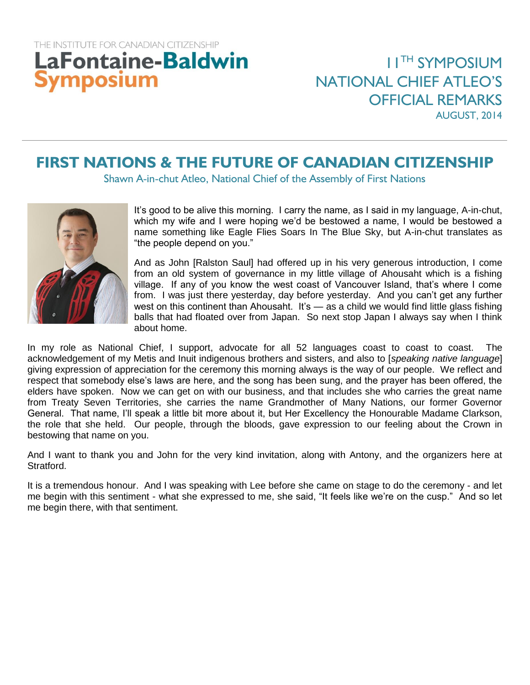## THE INSTITUTE FOR CANADIAN CITIZENSHIP **LaFontaine-Baldwin** Symposium

## **FIRST NATIONS & THE FUTURE OF CANADIAN CITIZENSHIP**

Shawn A-in-chut Atleo, National Chief of the Assembly of First Nations



It's good to be alive this morning. I carry the name, as I said in my language, A-in-chut, which my wife and I were hoping we'd be bestowed a name, I would be bestowed a name something like Eagle Flies Soars In The Blue Sky, but A-in-chut translates as "the people depend on you."

And as John [Ralston Saul] had offered up in his very generous introduction, I come from an old system of governance in my little village of Ahousaht which is a fishing village. If any of you know the west coast of Vancouver Island, that's where I come from. I was just there yesterday, day before yesterday. And you can't get any further west on this continent than Ahousaht. It's — as a child we would find little glass fishing balls that had floated over from Japan. So next stop Japan I always say when I think about home.

In my role as National Chief, I support, advocate for all 52 languages coast to coast to coast. The acknowledgement of my Metis and Inuit indigenous brothers and sisters, and also to [*speaking native language*] giving expression of appreciation for the ceremony this morning always is the way of our people. We reflect and respect that somebody else's laws are here, and the song has been sung, and the prayer has been offered, the elders have spoken. Now we can get on with our business, and that includes she who carries the great name from Treaty Seven Territories, she carries the name Grandmother of Many Nations, our former Governor General. That name, I'll speak a little bit more about it, but Her Excellency the Honourable Madame Clarkson, the role that she held. Our people, through the bloods, gave expression to our feeling about the Crown in bestowing that name on you.

And I want to thank you and John for the very kind invitation, along with Antony, and the organizers here at Stratford.

It is a tremendous honour. And I was speaking with Lee before she came on stage to do the ceremony - and let me begin with this sentiment - what she expressed to me, she said, "It feels like we're on the cusp." And so let me begin there, with that sentiment.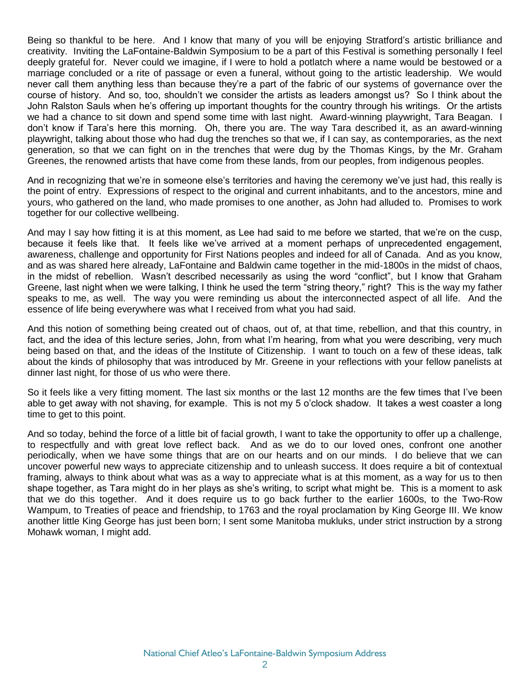Being so thankful to be here. And I know that many of you will be enjoying Stratford's artistic brilliance and creativity. Inviting the LaFontaine-Baldwin Symposium to be a part of this Festival is something personally I feel deeply grateful for. Never could we imagine, if I were to hold a potlatch where a name would be bestowed or a marriage concluded or a rite of passage or even a funeral, without going to the artistic leadership. We would never call them anything less than because they're a part of the fabric of our systems of governance over the course of history. And so, too, shouldn't we consider the artists as leaders amongst us? So I think about the John Ralston Sauls when he's offering up important thoughts for the country through his writings. Or the artists we had a chance to sit down and spend some time with last night. Award-winning playwright, Tara Beagan. I don't know if Tara's here this morning. Oh, there you are. The way Tara described it, as an award-winning playwright, talking about those who had dug the trenches so that we, if I can say, as contemporaries, as the next generation, so that we can fight on in the trenches that were dug by the Thomas Kings, by the Mr. Graham Greenes, the renowned artists that have come from these lands, from our peoples, from indigenous peoples.

And in recognizing that we're in someone else's territories and having the ceremony we've just had, this really is the point of entry. Expressions of respect to the original and current inhabitants, and to the ancestors, mine and yours, who gathered on the land, who made promises to one another, as John had alluded to. Promises to work together for our collective wellbeing.

And may I say how fitting it is at this moment, as Lee had said to me before we started, that we're on the cusp, because it feels like that. It feels like we've arrived at a moment perhaps of unprecedented engagement, awareness, challenge and opportunity for First Nations peoples and indeed for all of Canada. And as you know, and as was shared here already, LaFontaine and Baldwin came together in the mid-1800s in the midst of chaos, in the midst of rebellion. Wasn't described necessarily as using the word "conflict", but I know that Graham Greene, last night when we were talking, I think he used the term "string theory," right? This is the way my father speaks to me, as well. The way you were reminding us about the interconnected aspect of all life. And the essence of life being everywhere was what I received from what you had said.

And this notion of something being created out of chaos, out of, at that time, rebellion, and that this country, in fact, and the idea of this lecture series, John, from what I'm hearing, from what you were describing, very much being based on that, and the ideas of the Institute of Citizenship. I want to touch on a few of these ideas, talk about the kinds of philosophy that was introduced by Mr. Greene in your reflections with your fellow panelists at dinner last night, for those of us who were there.

So it feels like a very fitting moment. The last six months or the last 12 months are the few times that I've been able to get away with not shaving, for example. This is not my 5 o'clock shadow. It takes a west coaster a long time to get to this point.

And so today, behind the force of a little bit of facial growth, I want to take the opportunity to offer up a challenge, to respectfully and with great love reflect back. And as we do to our loved ones, confront one another periodically, when we have some things that are on our hearts and on our minds. I do believe that we can uncover powerful new ways to appreciate citizenship and to unleash success. It does require a bit of contextual framing, always to think about what was as a way to appreciate what is at this moment, as a way for us to then shape together, as Tara might do in her plays as she's writing, to script what might be. This is a moment to ask that we do this together. And it does require us to go back further to the earlier 1600s, to the Two-Row Wampum, to Treaties of peace and friendship, to 1763 and the royal proclamation by King George III. We know another little King George has just been born; I sent some Manitoba mukluks, under strict instruction by a strong Mohawk woman, I might add.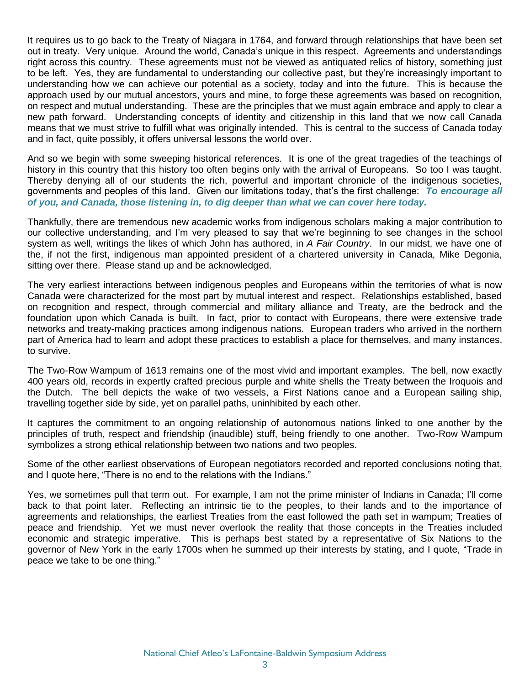It requires us to go back to the Treaty of Niagara in 1764, and forward through relationships that have been set out in treaty. Very unique. Around the world, Canada's unique in this respect. Agreements and understandings right across this country. These agreements must not be viewed as antiquated relics of history, something just to be left. Yes, they are fundamental to understanding our collective past, but they're increasingly important to understanding how we can achieve our potential as a society, today and into the future. This is because the approach used by our mutual ancestors, yours and mine, to forge these agreements was based on recognition, on respect and mutual understanding. These are the principles that we must again embrace and apply to clear a new path forward. Understanding concepts of identity and citizenship in this land that we now call Canada means that we must strive to fulfill what was originally intended. This is central to the success of Canada today and in fact, quite possibly, it offers universal lessons the world over.

And so we begin with some sweeping historical references. It is one of the great tragedies of the teachings of history in this country that this history too often begins only with the arrival of Europeans. So too I was taught. Thereby denying all of our students the rich, powerful and important chronicle of the indigenous societies, governments and peoples of this land. Given our limitations today, that's the first challenge: *To encourage all of you, and Canada, those listening in, to dig deeper than what we can cover here today.* 

Thankfully, there are tremendous new academic works from indigenous scholars making a major contribution to our collective understanding, and I'm very pleased to say that we're beginning to see changes in the school system as well, writings the likes of which John has authored, in *A Fair Country*. In our midst, we have one of the, if not the first, indigenous man appointed president of a chartered university in Canada, Mike Degonia, sitting over there. Please stand up and be acknowledged.

The very earliest interactions between indigenous peoples and Europeans within the territories of what is now Canada were characterized for the most part by mutual interest and respect. Relationships established, based on recognition and respect, through commercial and military alliance and Treaty, are the bedrock and the foundation upon which Canada is built. In fact, prior to contact with Europeans, there were extensive trade networks and treaty-making practices among indigenous nations. European traders who arrived in the northern part of America had to learn and adopt these practices to establish a place for themselves, and many instances, to survive.

The Two-Row Wampum of 1613 remains one of the most vivid and important examples. The bell, now exactly 400 years old, records in expertly crafted precious purple and white shells the Treaty between the Iroquois and the Dutch. The bell depicts the wake of two vessels, a First Nations canoe and a European sailing ship, travelling together side by side, yet on parallel paths, uninhibited by each other.

It captures the commitment to an ongoing relationship of autonomous nations linked to one another by the principles of truth, respect and friendship (inaudible) stuff, being friendly to one another. Two-Row Wampum symbolizes a strong ethical relationship between two nations and two peoples.

Some of the other earliest observations of European negotiators recorded and reported conclusions noting that, and I quote here, "There is no end to the relations with the Indians."

Yes, we sometimes pull that term out. For example, I am not the prime minister of Indians in Canada; I'll come back to that point later. Reflecting an intrinsic tie to the peoples, to their lands and to the importance of agreements and relationships, the earliest Treaties from the east followed the path set in wampum; Treaties of peace and friendship. Yet we must never overlook the reality that those concepts in the Treaties included economic and strategic imperative. This is perhaps best stated by a representative of Six Nations to the governor of New York in the early 1700s when he summed up their interests by stating, and I quote, "Trade in peace we take to be one thing."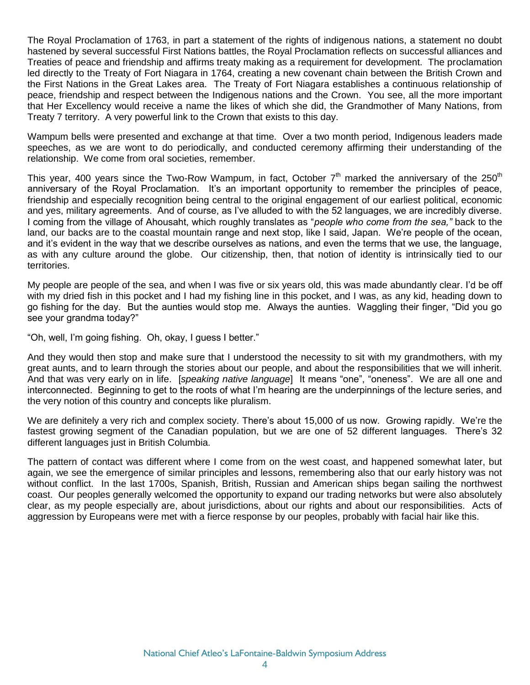The Royal Proclamation of 1763, in part a statement of the rights of indigenous nations, a statement no doubt hastened by several successful First Nations battles, the Royal Proclamation reflects on successful alliances and Treaties of peace and friendship and affirms treaty making as a requirement for development. The proclamation led directly to the Treaty of Fort Niagara in 1764, creating a new covenant chain between the British Crown and the First Nations in the Great Lakes area. The Treaty of Fort Niagara establishes a continuous relationship of peace, friendship and respect between the Indigenous nations and the Crown. You see, all the more important that Her Excellency would receive a name the likes of which she did, the Grandmother of Many Nations, from Treaty 7 territory. A very powerful link to the Crown that exists to this day.

Wampum bells were presented and exchange at that time. Over a two month period, Indigenous leaders made speeches, as we are wont to do periodically, and conducted ceremony affirming their understanding of the relationship. We come from oral societies, remember.

This year, 400 years since the Two-Row Wampum, in fact, October  $7<sup>th</sup>$  marked the anniversary of the 250<sup>th</sup> anniversary of the Royal Proclamation. It's an important opportunity to remember the principles of peace, friendship and especially recognition being central to the original engagement of our earliest political, economic and yes, military agreements. And of course, as I've alluded to with the 52 languages, we are incredibly diverse. I coming from the village of Ahousaht, which roughly translates as "*people who come from the sea,"* back to the land, our backs are to the coastal mountain range and next stop, like I said, Japan. We're people of the ocean, and it's evident in the way that we describe ourselves as nations, and even the terms that we use, the language, as with any culture around the globe. Our citizenship, then, that notion of identity is intrinsically tied to our territories.

My people are people of the sea, and when I was five or six years old, this was made abundantly clear. I'd be off with my dried fish in this pocket and I had my fishing line in this pocket, and I was, as any kid, heading down to go fishing for the day. But the aunties would stop me. Always the aunties. Waggling their finger, "Did you go see your grandma today?"

"Oh, well, I'm going fishing. Oh, okay, I guess I better."

And they would then stop and make sure that I understood the necessity to sit with my grandmothers, with my great aunts, and to learn through the stories about our people, and about the responsibilities that we will inherit. And that was very early on in life. [*speaking native language*] It means "one", "oneness". We are all one and interconnected. Beginning to get to the roots of what I'm hearing are the underpinnings of the lecture series, and the very notion of this country and concepts like pluralism.

We are definitely a very rich and complex society. There's about 15,000 of us now. Growing rapidly. We're the fastest growing segment of the Canadian population, but we are one of 52 different languages. There's 32 different languages just in British Columbia.

The pattern of contact was different where I come from on the west coast, and happened somewhat later, but again, we see the emergence of similar principles and lessons, remembering also that our early history was not without conflict. In the last 1700s, Spanish, British, Russian and American ships began sailing the northwest coast. Our peoples generally welcomed the opportunity to expand our trading networks but were also absolutely clear, as my people especially are, about jurisdictions, about our rights and about our responsibilities. Acts of aggression by Europeans were met with a fierce response by our peoples, probably with facial hair like this.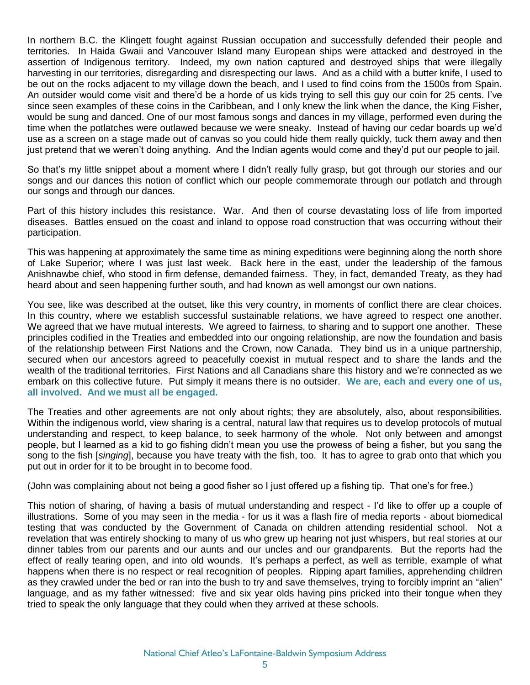In northern B.C. the Klingett fought against Russian occupation and successfully defended their people and territories. In Haida Gwaii and Vancouver Island many European ships were attacked and destroyed in the assertion of Indigenous territory. Indeed, my own nation captured and destroyed ships that were illegally harvesting in our territories, disregarding and disrespecting our laws. And as a child with a butter knife, I used to be out on the rocks adjacent to my village down the beach, and I used to find coins from the 1500s from Spain. An outsider would come visit and there'd be a horde of us kids trying to sell this guy our coin for 25 cents. I've since seen examples of these coins in the Caribbean, and I only knew the link when the dance, the King Fisher, would be sung and danced. One of our most famous songs and dances in my village, performed even during the time when the potlatches were outlawed because we were sneaky. Instead of having our cedar boards up we'd use as a screen on a stage made out of canvas so you could hide them really quickly, tuck them away and then just pretend that we weren't doing anything. And the Indian agents would come and they'd put our people to jail.

So that's my little snippet about a moment where I didn't really fully grasp, but got through our stories and our songs and our dances this notion of conflict which our people commemorate through our potlatch and through our songs and through our dances.

Part of this history includes this resistance. War. And then of course devastating loss of life from imported diseases. Battles ensued on the coast and inland to oppose road construction that was occurring without their participation.

This was happening at approximately the same time as mining expeditions were beginning along the north shore of Lake Superior; where I was just last week. Back here in the east, under the leadership of the famous Anishnawbe chief, who stood in firm defense, demanded fairness. They, in fact, demanded Treaty, as they had heard about and seen happening further south, and had known as well amongst our own nations.

You see, like was described at the outset, like this very country, in moments of conflict there are clear choices. In this country, where we establish successful sustainable relations, we have agreed to respect one another. We agreed that we have mutual interests. We agreed to fairness, to sharing and to support one another. These principles codified in the Treaties and embedded into our ongoing relationship, are now the foundation and basis of the relationship between First Nations and the Crown, now Canada. They bind us in a unique partnership, secured when our ancestors agreed to peacefully coexist in mutual respect and to share the lands and the wealth of the traditional territories. First Nations and all Canadians share this history and we're connected as we embark on this collective future. Put simply it means there is no outsider. **We are, each and every one of us, all involved. And we must all be engaged.** 

The Treaties and other agreements are not only about rights; they are absolutely, also, about responsibilities. Within the indigenous world, view sharing is a central, natural law that requires us to develop protocols of mutual understanding and respect, to keep balance, to seek harmony of the whole. Not only between and amongst people, but I learned as a kid to go fishing didn't mean you use the prowess of being a fisher, but you sang the song to the fish [*singing*], because you have treaty with the fish, too. It has to agree to grab onto that which you put out in order for it to be brought in to become food.

(John was complaining about not being a good fisher so I just offered up a fishing tip. That one's for free.)

This notion of sharing, of having a basis of mutual understanding and respect - I'd like to offer up a couple of illustrations. Some of you may seen in the media - for us it was a flash fire of media reports - about biomedical testing that was conducted by the Government of Canada on children attending residential school. Not a revelation that was entirely shocking to many of us who grew up hearing not just whispers, but real stories at our dinner tables from our parents and our aunts and our uncles and our grandparents. But the reports had the effect of really tearing open, and into old wounds. It's perhaps a perfect, as well as terrible, example of what happens when there is no respect or real recognition of peoples. Ripping apart families, apprehending children as they crawled under the bed or ran into the bush to try and save themselves, trying to forcibly imprint an "alien" language, and as my father witnessed: five and six year olds having pins pricked into their tongue when they tried to speak the only language that they could when they arrived at these schools.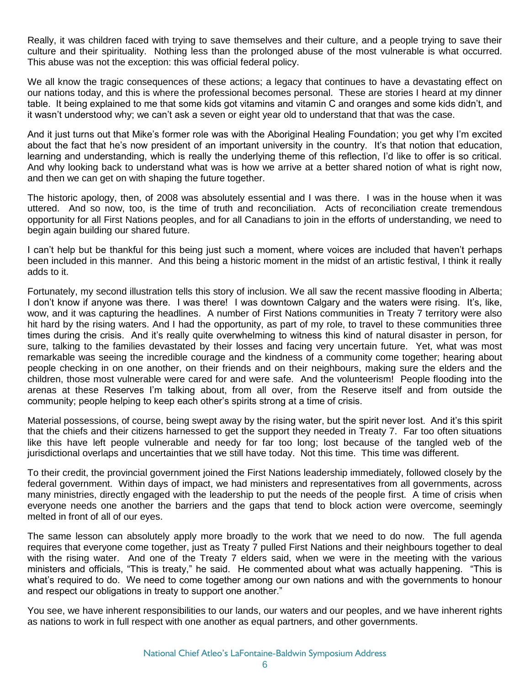Really, it was children faced with trying to save themselves and their culture, and a people trying to save their culture and their spirituality. Nothing less than the prolonged abuse of the most vulnerable is what occurred. This abuse was not the exception: this was official federal policy.

We all know the tragic consequences of these actions; a legacy that continues to have a devastating effect on our nations today, and this is where the professional becomes personal. These are stories I heard at my dinner table. It being explained to me that some kids got vitamins and vitamin C and oranges and some kids didn't, and it wasn't understood why; we can't ask a seven or eight year old to understand that that was the case.

And it just turns out that Mike's former role was with the Aboriginal Healing Foundation; you get why I'm excited about the fact that he's now president of an important university in the country. It's that notion that education, learning and understanding, which is really the underlying theme of this reflection, I'd like to offer is so critical. And why looking back to understand what was is how we arrive at a better shared notion of what is right now, and then we can get on with shaping the future together.

The historic apology, then, of 2008 was absolutely essential and I was there. I was in the house when it was uttered. And so now, too, is the time of truth and reconciliation. Acts of reconciliation create tremendous opportunity for all First Nations peoples, and for all Canadians to join in the efforts of understanding, we need to begin again building our shared future.

I can't help but be thankful for this being just such a moment, where voices are included that haven't perhaps been included in this manner. And this being a historic moment in the midst of an artistic festival, I think it really adds to it.

Fortunately, my second illustration tells this story of inclusion. We all saw the recent massive flooding in Alberta; I don't know if anyone was there. I was there! I was downtown Calgary and the waters were rising. It's, like, wow, and it was capturing the headlines. A number of First Nations communities in Treaty 7 territory were also hit hard by the rising waters. And I had the opportunity, as part of my role, to travel to these communities three times during the crisis. And it's really quite overwhelming to witness this kind of natural disaster in person, for sure, talking to the families devastated by their losses and facing very uncertain future. Yet, what was most remarkable was seeing the incredible courage and the kindness of a community come together; hearing about people checking in on one another, on their friends and on their neighbours, making sure the elders and the children, those most vulnerable were cared for and were safe. And the volunteerism! People flooding into the arenas at these Reserves I'm talking about, from all over, from the Reserve itself and from outside the community; people helping to keep each other's spirits strong at a time of crisis.

Material possessions, of course, being swept away by the rising water, but the spirit never lost. And it's this spirit that the chiefs and their citizens harnessed to get the support they needed in Treaty 7. Far too often situations like this have left people vulnerable and needy for far too long; lost because of the tangled web of the jurisdictional overlaps and uncertainties that we still have today. Not this time. This time was different.

To their credit, the provincial government joined the First Nations leadership immediately, followed closely by the federal government. Within days of impact, we had ministers and representatives from all governments, across many ministries, directly engaged with the leadership to put the needs of the people first. A time of crisis when everyone needs one another the barriers and the gaps that tend to block action were overcome, seemingly melted in front of all of our eyes.

The same lesson can absolutely apply more broadly to the work that we need to do now. The full agenda requires that everyone come together, just as Treaty 7 pulled First Nations and their neighbours together to deal with the rising water. And one of the Treaty 7 elders said, when we were in the meeting with the various ministers and officials, "This is treaty," he said. He commented about what was actually happening. "This is what's required to do. We need to come together among our own nations and with the governments to honour and respect our obligations in treaty to support one another."

You see, we have inherent responsibilities to our lands, our waters and our peoples, and we have inherent rights as nations to work in full respect with one another as equal partners, and other governments.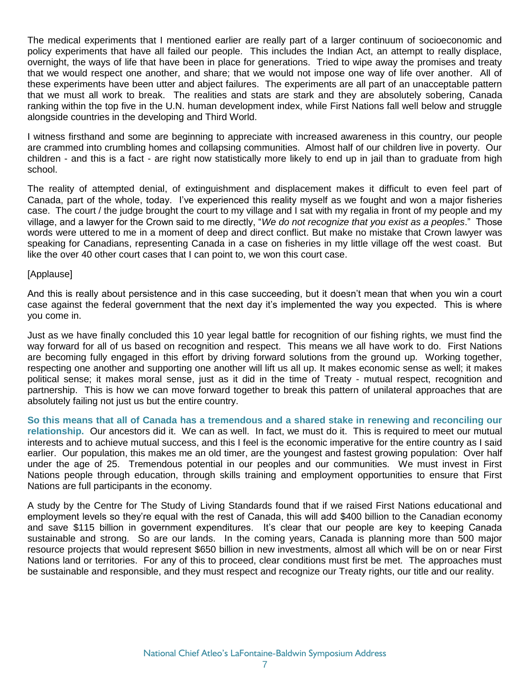The medical experiments that I mentioned earlier are really part of a larger continuum of socioeconomic and policy experiments that have all failed our people. This includes the Indian Act, an attempt to really displace, overnight, the ways of life that have been in place for generations. Tried to wipe away the promises and treaty that we would respect one another, and share; that we would not impose one way of life over another. All of these experiments have been utter and abject failures. The experiments are all part of an unacceptable pattern that we must all work to break. The realities and stats are stark and they are absolutely sobering, Canada ranking within the top five in the U.N. human development index, while First Nations fall well below and struggle alongside countries in the developing and Third World.

I witness firsthand and some are beginning to appreciate with increased awareness in this country, our people are crammed into crumbling homes and collapsing communities. Almost half of our children live in poverty. Our children - and this is a fact - are right now statistically more likely to end up in jail than to graduate from high school.

The reality of attempted denial, of extinguishment and displacement makes it difficult to even feel part of Canada, part of the whole, today. I've experienced this reality myself as we fought and won a major fisheries case. The court / the judge brought the court to my village and I sat with my regalia in front of my people and my village, and a lawyer for the Crown said to me directly, "*We do not recognize that you exist as a peoples*." Those words were uttered to me in a moment of deep and direct conflict. But make no mistake that Crown lawyer was speaking for Canadians, representing Canada in a case on fisheries in my little village off the west coast. But like the over 40 other court cases that I can point to, we won this court case.

## [Applause]

And this is really about persistence and in this case succeeding, but it doesn't mean that when you win a court case against the federal government that the next day it's implemented the way you expected. This is where you come in.

Just as we have finally concluded this 10 year legal battle for recognition of our fishing rights, we must find the way forward for all of us based on recognition and respect. This means we all have work to do. First Nations are becoming fully engaged in this effort by driving forward solutions from the ground up. Working together, respecting one another and supporting one another will lift us all up. It makes economic sense as well; it makes political sense; it makes moral sense, just as it did in the time of Treaty - mutual respect, recognition and partnership. This is how we can move forward together to break this pattern of unilateral approaches that are absolutely failing not just us but the entire country.

**So this means that all of Canada has a tremendous and a shared stake in renewing and reconciling our relationship.** Our ancestors did it. We can as well. In fact, we must do it. This is required to meet our mutual interests and to achieve mutual success, and this I feel is the economic imperative for the entire country as I said earlier. Our population, this makes me an old timer, are the youngest and fastest growing population: Over half under the age of 25. Tremendous potential in our peoples and our communities. We must invest in First Nations people through education, through skills training and employment opportunities to ensure that First Nations are full participants in the economy.

A study by the Centre for The Study of Living Standards found that if we raised First Nations educational and employment levels so they're equal with the rest of Canada, this will add \$400 billion to the Canadian economy and save \$115 billion in government expenditures. It's clear that our people are key to keeping Canada sustainable and strong. So are our lands. In the coming years, Canada is planning more than 500 major resource projects that would represent \$650 billion in new investments, almost all which will be on or near First Nations land or territories. For any of this to proceed, clear conditions must first be met. The approaches must be sustainable and responsible, and they must respect and recognize our Treaty rights, our title and our reality.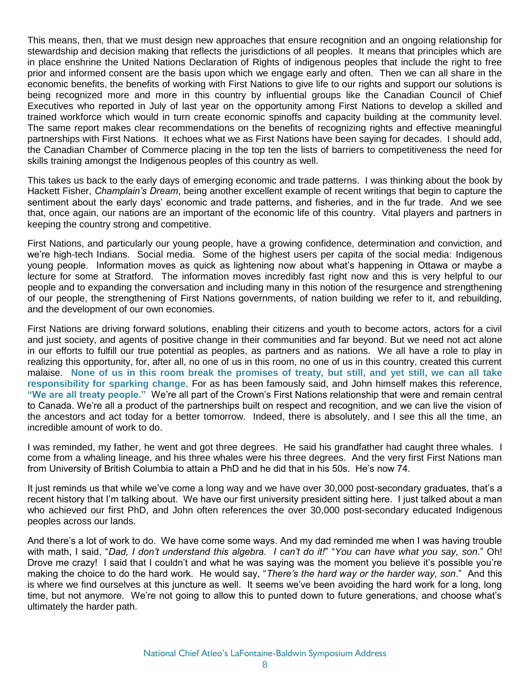This means, then, that we must design new approaches that ensure recognition and an ongoing relationship for stewardship and decision making that reflects the jurisdictions of all peoples. It means that principles which are in place enshrine the United Nations Declaration of Rights of indigenous peoples that include the right to free prior and informed consent are the basis upon which we engage early and often. Then we can all share in the economic benefits, the benefits of working with First Nations to give life to our rights and support our solutions is being recognized more and more in this country by influential groups like the Canadian Council of Chief Executives who reported in July of last year on the opportunity among First Nations to develop a skilled and trained workforce which would in turn create economic spinoffs and capacity building at the community level. The same report makes clear recommendations on the benefits of recognizing rights and effective meaningful partnerships with First Nations. It echoes what we as First Nations have been saying for decades. I should add, the Canadian Chamber of Commerce placing in the top ten the lists of barriers to competitiveness the need for skills training amongst the Indigenous peoples of this country as well.

This takes us back to the early days of emerging economic and trade patterns. I was thinking about the book by Hackett Fisher, *Champlain's Dream*, being another excellent example of recent writings that begin to capture the sentiment about the early days' economic and trade patterns, and fisheries, and in the fur trade. And we see that, once again, our nations are an important of the economic life of this country. Vital players and partners in keeping the country strong and competitive.

First Nations, and particularly our young people, have a growing confidence, determination and conviction, and we're high-tech Indians. Social media. Some of the highest users per capita of the social media: Indigenous young people. Information moves as quick as lightening now about what's happening in Ottawa or maybe a lecture for some at Stratford. The information moves incredibly fast right now and this is very helpful to our people and to expanding the conversation and including many in this notion of the resurgence and strengthening of our people, the strengthening of First Nations governments, of nation building we refer to it, and rebuilding, and the development of our own economies.

First Nations are driving forward solutions, enabling their citizens and youth to become actors, actors for a civil and just society, and agents of positive change in their communities and far beyond. But we need not act alone in our efforts to fulfill our true potential as peoples, as partners and as nations. We all have a role to play in realizing this opportunity, for, after all, no one of us in this room, no one of us in this country, created this current malaise. **None of us in this room break the promises of treaty, but still, and yet still, we can all take responsibility for sparking change**. For as has been famously said, and John himself makes this reference, **"We are all treaty people."** We're all part of the Crown's First Nations relationship that were and remain central to Canada. We're all a product of the partnerships built on respect and recognition, and we can live the vision of the ancestors and act today for a better tomorrow. Indeed, there is absolutely, and I see this all the time, an incredible amount of work to do.

I was reminded, my father, he went and got three degrees. He said his grandfather had caught three whales. I come from a whaling lineage, and his three whales were his three degrees. And the very first First Nations man from University of British Columbia to attain a PhD and he did that in his 50s. He's now 74.

It just reminds us that while we've come a long way and we have over 30,000 post-secondary graduates, that's a recent history that I'm talking about. We have our first university president sitting here. I just talked about a man who achieved our first PhD, and John often references the over 30,000 post-secondary educated Indigenous peoples across our lands.

And there's a lot of work to do. We have come some ways. And my dad reminded me when I was having trouble with math, I said, "*Dad, I don't understand this algebra. I can't do it!*" "*You can have what you say, son*." Oh! Drove me crazy! I said that I couldn't and what he was saying was the moment you believe it's possible you're making the choice to do the hard work. He would say, "*There's the hard way or the harder way, son*." And this is where we find ourselves at this juncture as well. It seems we've been avoiding the hard work for a long, long time, but not anymore. We're not going to allow this to punted down to future generations, and choose what's ultimately the harder path.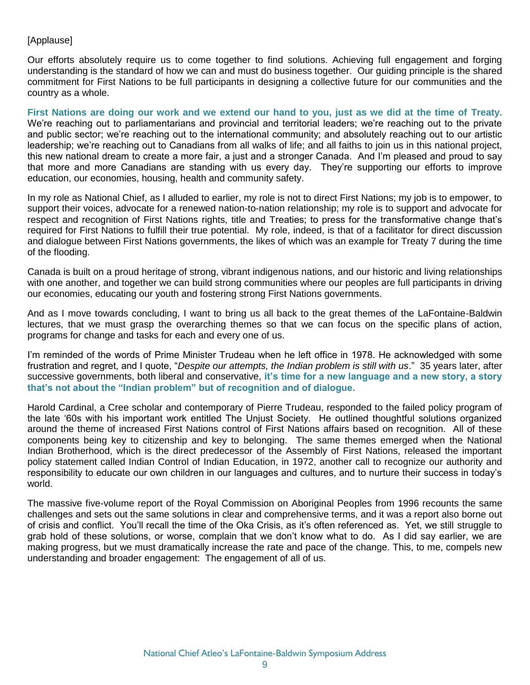## [Applause]

Our efforts absolutely require us to come together to find solutions. Achieving full engagement and forging understanding is the standard of how we can and must do business together. Our guiding principle is the shared commitment for First Nations to be full participants in designing a collective future for our communities and the country as a whole.

**First Nations are doing our work and we extend our hand to you, just as we did at the time of Treaty.** We're reaching out to parliamentarians and provincial and territorial leaders; we're reaching out to the private and public sector; we're reaching out to the international community; and absolutely reaching out to our artistic leadership; we're reaching out to Canadians from all walks of life; and all faiths to join us in this national project, this new national dream to create a more fair, a just and a stronger Canada. And I'm pleased and proud to say that more and more Canadians are standing with us every day. They're supporting our efforts to improve education, our economies, housing, health and community safety.

In my role as National Chief, as I alluded to earlier, my role is not to direct First Nations; my job is to empower, to support their voices, advocate for a renewed nation-to-nation relationship; my role is to support and advocate for respect and recognition of First Nations rights, title and Treaties; to press for the transformative change that's required for First Nations to fulfill their true potential. My role, indeed, is that of a facilitator for direct discussion and dialogue between First Nations governments, the likes of which was an example for Treaty 7 during the time of the flooding.

Canada is built on a proud heritage of strong, vibrant indigenous nations, and our historic and living relationships with one another, and together we can build strong communities where our peoples are full participants in driving our economies, educating our youth and fostering strong First Nations governments.

And as I move towards concluding, I want to bring us all back to the great themes of the LaFontaine-Baldwin lectures, that we must grasp the overarching themes so that we can focus on the specific plans of action, programs for change and tasks for each and every one of us.

I'm reminded of the words of Prime Minister Trudeau when he left office in 1978. He acknowledged with some frustration and regret, and I quote, "*Despite our attempts, the Indian problem is still with us*." 35 years later, after successive governments, both liberal and conservative, **it's time for a new language and a new story, a story that's not about the "Indian problem" but of recognition and of dialogue.**

Harold Cardinal, a Cree scholar and contemporary of Pierre Trudeau, responded to the failed policy program of the late '60s with his important work entitled The Unjust Society. He outlined thoughtful solutions organized around the theme of increased First Nations control of First Nations affairs based on recognition. All of these components being key to citizenship and key to belonging. The same themes emerged when the National Indian Brotherhood, which is the direct predecessor of the Assembly of First Nations, released the important policy statement called Indian Control of Indian Education, in 1972, another call to recognize our authority and responsibility to educate our own children in our languages and cultures, and to nurture their success in today's world.

The massive five-volume report of the Royal Commission on Aboriginal Peoples from 1996 recounts the same challenges and sets out the same solutions in clear and comprehensive terms, and it was a report also borne out of crisis and conflict. You'll recall the time of the Oka Crisis, as it's often referenced as. Yet, we still struggle to grab hold of these solutions, or worse, complain that we don't know what to do. As I did say earlier, we are making progress, but we must dramatically increase the rate and pace of the change. This, to me, compels new understanding and broader engagement: The engagement of all of us.